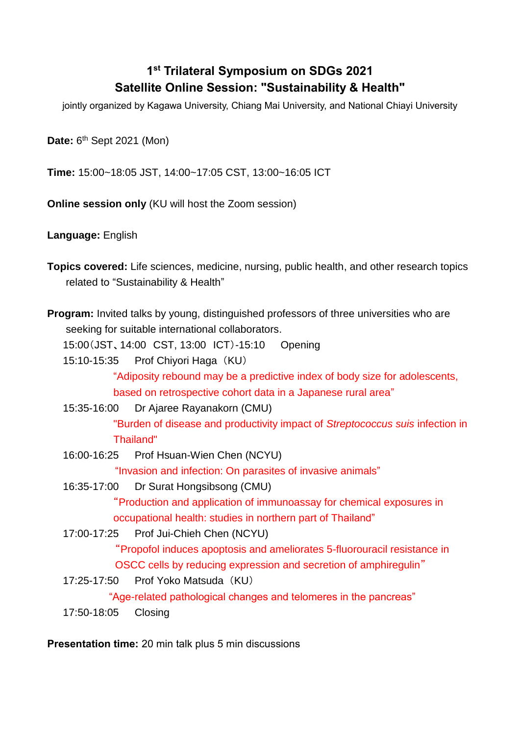## **1 st Trilateral Symposium on SDGs 2021 Satellite Online Session: "Sustainability & Health"**

jointly organized by Kagawa University, Chiang Mai University, and National Chiayi University

Date: 6<sup>th</sup> Sept 2021 (Mon)

**Time:** 15:00~18:05 JST, 14:00~17:05 CST, 13:00~16:05 ICT

**Online session only** (KU will host the Zoom session)

**Language:** English

- **Topics covered:** Life sciences, medicine, nursing, public health, and other research topics related to "Sustainability & Health"
- **Program:** Invited talks by young, distinguished professors of three universities who are seeking for suitable international collaborators.

15:00(JST、14:00 CST, 13:00 ICT)-15:10 Opening

15:10-15:35 Prof Chiyori Haga (KU)

"Adiposity rebound may be a predictive index of body size for adolescents, based on retrospective cohort data in a Japanese rural area"

15:35-16:00 Dr Ajaree Rayanakorn (CMU)

"Burden of disease and productivity impact of *Streptococcus suis* infection in Thailand"

16:00-16:25 Prof Hsuan-Wien Chen (NCYU)

"Invasion and infection: On parasites of invasive animals"

16:35-17:00 Dr Surat Hongsibsong (CMU)

"Production and application of immunoassay for chemical exposures in occupational health: studies in northern part of Thailand"

17:00-17:25 Prof Jui-Chieh Chen (NCYU)

"Propofol induces apoptosis and ameliorates 5-fluorouracil resistance in OSCC cells by reducing expression and secretion of amphiregulin"

17:25-17:50 Prof Yoko Matsuda (KU)

"Age-related pathological changes and telomeres in the pancreas"

17:50-18:05 Closing

**Presentation time:** 20 min talk plus 5 min discussions